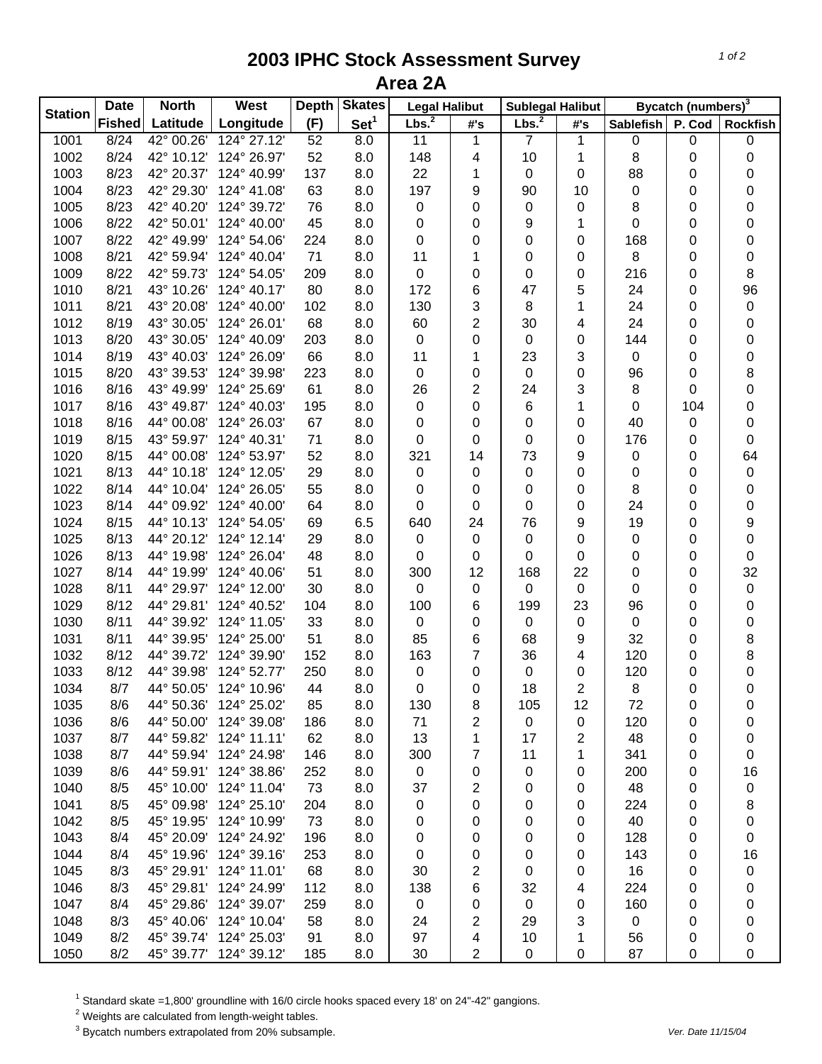## **2003 IPHC Stock Assessment Survey Area 2A**

| <b>Station</b> | <b>Date</b>   | <b>North</b> | <b>West</b> | <b>Skates</b><br><b>Depth</b> |                  | <b>Legal Halibut</b> |     | Sublegal Halibut  |                | Bycatch (numbers) <sup>3</sup> |        |                  |
|----------------|---------------|--------------|-------------|-------------------------------|------------------|----------------------|-----|-------------------|----------------|--------------------------------|--------|------------------|
|                | <b>Fished</b> | Latitude     | Longitude   | (F)                           | Set <sup>1</sup> | Lbs. <sup>2</sup>    | #'s | Lbs. <sup>2</sup> | #'s            | <b>Sablefish</b>               | P. Cod | <b>Rockfish</b>  |
| 1001           | 8/24          | 42° 00.26'   | 124° 27.12' | 52                            | 8.0              | 11                   | 1   | 7                 | 1              | 0                              | 0      | 0                |
| 1002           | 8/24          | 42° 10.12'   | 124° 26.97' | 52                            | 8.0              | 148                  | 4   | 10                | 1              | 8                              | 0      | $\pmb{0}$        |
| 1003           | 8/23          | 42° 20.37'   | 124° 40.99' | 137                           | 8.0              | 22                   | 1   | 0                 | 0              | 88                             | 0      | $\pmb{0}$        |
| 1004           | 8/23          | 42° 29.30'   | 124° 41.08' | 63                            | 8.0              | 197                  | 9   | 90                | 10             | 0                              | 0      | 0                |
| 1005           | 8/23          | 42° 40.20'   | 124° 39.72' | 76                            | 8.0              | $\pmb{0}$            | 0   | 0                 | 0              | 8                              | 0      | 0                |
| 1006           | 8/22          | 42° 50.01'   | 124° 40.00' | 45                            | 8.0              | 0                    | 0   | 9                 | 1              | 0                              | 0      | $\boldsymbol{0}$ |
| 1007           | 8/22          | 42° 49.99'   | 124° 54.06' | 224                           | 8.0              | 0                    | 0   | 0                 | 0              | 168                            | 0      | $\boldsymbol{0}$ |
| 1008           | 8/21          | 42° 59.94'   | 124° 40.04' | 71                            | 8.0              | 11                   | 1   | 0                 | 0              | 8                              | 0      | $\boldsymbol{0}$ |
| 1009           | 8/22          | 42° 59.73'   | 124° 54.05' | 209                           | 8.0              | 0                    | 0   | 0                 | 0              | 216                            | 0      | $\bf 8$          |
| 1010           | 8/21          | 43° 10.26'   | 124° 40.17' | 80                            | 8.0              | 172                  | 6   | 47                | 5              | 24                             | 0      | 96               |
| 1011           | 8/21          | 43° 20.08'   | 124° 40.00' | 102                           | 8.0              | 130                  | 3   | 8                 | 1              | 24                             | 0      | $\boldsymbol{0}$ |
| 1012           | 8/19          | 43° 30.05'   | 124° 26.01' | 68                            | 8.0              | 60                   | 2   | 30                | 4              | 24                             | 0      | $\boldsymbol{0}$ |
| 1013           | 8/20          | 43° 30.05'   | 124° 40.09' | 203                           | 8.0              | $\pmb{0}$            | 0   | 0                 | 0              | 144                            | 0      | 0                |
| 1014           | 8/19          | 43° 40.03'   | 124° 26.09' | 66                            | 8.0              | 11                   | 1   | 23                | 3              | 0                              | 0      | 0                |
| 1015           | 8/20          | 43° 39.53'   | 124° 39.98' | 223                           | 8.0              | 0                    | 0   | $\pmb{0}$         | 0              | 96                             | 0      | 8                |
| 1016           | 8/16          | 43° 49.99'   | 124° 25.69' | 61                            | 8.0              | 26                   | 2   | 24                | 3              | 8                              | 0      | 0                |
| 1017           | 8/16          | 43° 49.87'   | 124° 40.03' | 195                           | 8.0              | 0                    | 0   | 6                 | 1              | 0                              | 104    | 0                |
| 1018           | 8/16          | 44° 00.08'   | 124° 26.03' | 67                            | 8.0              | 0                    | 0   | 0                 | 0              | 40                             | 0      | 0                |
| 1019           | 8/15          | 43° 59.97'   | 124° 40.31' | 71                            | 8.0              | 0                    | 0   | 0                 | 0              | 176                            | 0      | 0                |
| 1020           | 8/15          | 44° 00.08'   | 124° 53.97' | 52                            | 8.0              | 321                  | 14  | 73                | 9              | 0                              | 0      | 64               |
| 1021           | 8/13          | 44° 10.18'   | 124° 12.05' | 29                            | 8.0              | $\pmb{0}$            | 0   | 0                 | 0              | 0                              | 0      | $\pmb{0}$        |
| 1022           | 8/14          | 44° 10.04'   | 124° 26.05' | 55                            | 8.0              | 0                    | 0   | 0                 | 0              | 8                              | 0      | $\boldsymbol{0}$ |
| 1023           | 8/14          | 44° 09.92'   | 124° 40.00' | 64                            | 8.0              | $\mathbf 0$          | 0   | 0                 | 0              | 24                             | 0      | $\boldsymbol{0}$ |
| 1024           | 8/15          | 44° 10.13'   | 124° 54.05' | 69                            | 6.5              | 640                  | 24  | 76                | 9              | 19                             | 0      | $\boldsymbol{9}$ |
| 1025           | 8/13          | 44° 20.12'   | 124° 12.14' | 29                            | 8.0              | 0                    | 0   | 0                 | 0              | 0                              | 0      | $\boldsymbol{0}$ |
| 1026           | 8/13          | 44° 19.98'   | 124° 26.04' | 48                            | 8.0              | 0                    | 0   | 0                 | 0              | 0                              | 0      | $\boldsymbol{0}$ |
| 1027           | 8/14          | 44° 19.99'   | 124° 40.06' | 51                            | 8.0              | 300                  | 12  | 168               | 22             | 0                              | 0      | 32               |
| 1028           | 8/11          | 44° 29.97'   | 124° 12.00' | 30                            | 8.0              | 0                    | 0   | 0                 | 0              | 0                              | 0      | $\pmb{0}$        |
| 1029           | 8/12          | 44° 29.81'   | 124° 40.52' | 104                           | 8.0              | 100                  | 6   | 199               | 23             | 96                             | 0      | 0                |
| 1030           | 8/11          | 44° 39.92'   | 124° 11.05' | 33                            | 8.0              | $\pmb{0}$            | 0   | 0                 | 0              | $\mathbf 0$                    | 0      | 0                |
| 1031           | 8/11          | 44° 39.95'   | 124° 25.00' | 51                            | 8.0              | 85                   | 6   | 68                | 9              | 32                             | 0      | 8                |
| 1032           | 8/12          | 44° 39.72'   | 124° 39.90' | 152                           | 8.0              | 163                  | 7   | 36                | 4              | 120                            | 0      | 8                |
| 1033           | 8/12          | 44° 39.98'   | 124° 52.77' | 250                           | 8.0              | 0                    | 0   | 0                 | 0              | 120                            | 0      | $\pmb{0}$        |
| 1034           | 8/7           | 44° 50.05'   | 124° 10.96' | 44                            | 8.0              | 0                    | 0   | 18                | $\overline{c}$ | 8                              | 0      | $\mathbf 0$      |
| 1035           | 8/6           | 44° 50.36'   | 124° 25.02' | 85                            | 8.0              | 130                  | 8   | 105               | 12             | 72                             | 0      | 0                |
| 1036           | 8/6           | 44° 50.00'   | 124° 39.08' | 186                           | 8.0              | 71                   | 2   | $\mathsf 0$       | 0              | 120                            | 0      | 0                |
| 1037           | 8/7           | 44° 59.82'   | 124° 11.11' | 62                            | 8.0              | 13                   | 1   | 17                | 2              | 48                             | 0      | 0                |
| 1038           | 8/7           | 44° 59.94'   | 124° 24.98' | 146                           | 8.0              | 300                  | 7   | 11                | 1              | 341                            | 0      | 0                |
| 1039           | 8/6           | 44° 59.91'   | 124° 38.86' | 252                           | 8.0              | $\pmb{0}$            | 0   | 0                 | 0              | 200                            | 0      | 16               |
| 1040           | 8/5           | 45° 10.00'   | 124° 11.04' | 73                            | 8.0              | 37                   | 2   | 0                 | 0              | 48                             | 0      | 0                |
| 1041           | 8/5           | 45° 09.98'   | 124° 25.10' | 204                           | 8.0              | 0                    | 0   | 0                 | 0              | 224                            | 0      | 8                |
| 1042           | 8/5           | 45° 19.95'   | 124° 10.99' | 73                            | 8.0              | 0                    | 0   | 0                 | 0              | 40                             | 0      | 0                |
| 1043           | 8/4           | 45° 20.09'   | 124° 24.92' | 196                           | 8.0              | 0                    | 0   | 0                 | 0              | 128                            | 0      | 0                |
| 1044           | 8/4           | 45° 19.96'   | 124° 39.16' | 253                           | 8.0              | 0                    | 0   | 0                 | 0              | 143                            | 0      | 16               |
| 1045           | 8/3           | 45° 29.91'   | 124° 11.01' | 68                            | 8.0              | 30                   | 2   | 0                 | 0              | 16                             | 0      | 0                |
| 1046           | 8/3           | 45° 29.81'   | 124° 24.99' | 112                           | 8.0              | 138                  | 6   | 32                | 4              | 224                            | 0      | 0                |
| 1047           | 8/4           | 45° 29.86'   | 124° 39.07' | 259                           | 8.0              | $\mathbf 0$          | 0   | 0                 | 0              | 160                            | 0      | 0                |
| 1048           | 8/3           | 45° 40.06'   | 124° 10.04' | 58                            | 8.0              | 24                   | 2   | 29                | 3              | 0                              | 0      | 0                |
| 1049           | 8/2           | 45° 39.74'   | 124° 25.03' | 91                            | 8.0              | 97                   | 4   | 10                | 1              | 56                             | 0      | 0                |
| 1050           | 8/2           | 45° 39.77'   | 124° 39.12' | 185                           | 8.0              | 30                   | 2   | 0                 | 0              | 87                             | 0      | 0                |

<sup>1</sup> Standard skate =1,800' groundline with 16/0 circle hooks spaced every 18' on 24"-42" gangions.<br><sup>2</sup> Weights are calculated from length-weight tables.<br><sup>3</sup> Bycatch numbers extrapolated from 20% subsample.